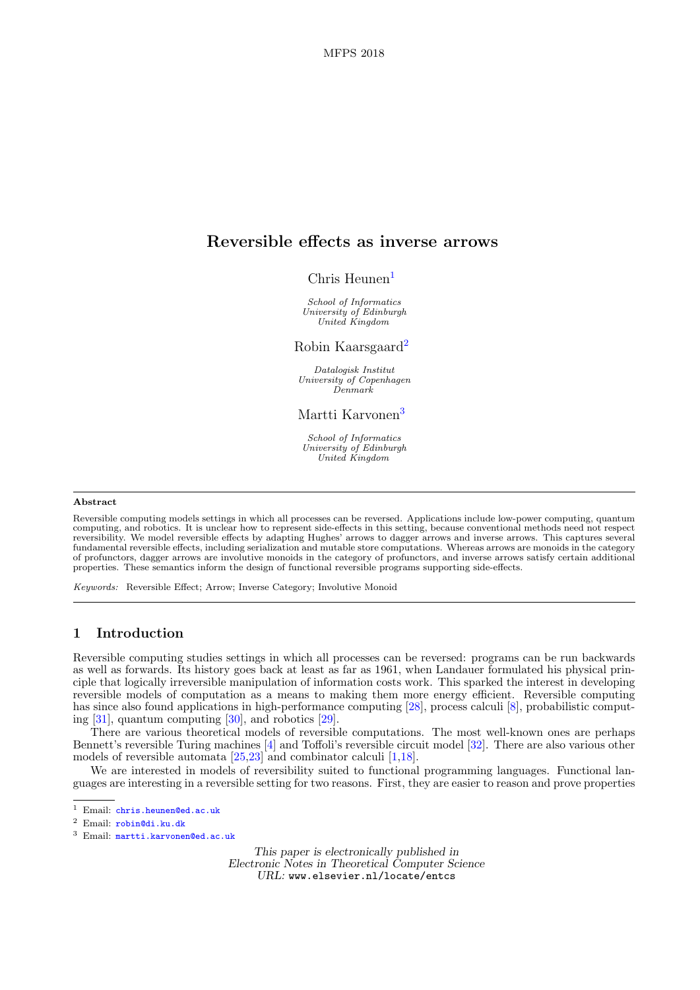# Reversible effects as inverse arrows

# $Chris$  Heunen $<sup>1</sup>$  $<sup>1</sup>$  $<sup>1</sup>$ </sup>

School of Informatics University of Edinburgh United Kingdom

### Robin Kaarsgaard[2](#page-0-0)

Datalogisk Institut University of Copenhagen Denmark

# Martti Karvonen<sup>[3](#page-0-0)</sup>

School of Informatics University of Edinburgh United Kingdom

#### <span id="page-0-0"></span>Abstract

Reversible computing models settings in which all processes can be reversed. Applications include low-power computing, quantum computing, and robotics. It is unclear how to represent side-effects in this setting, because conventional methods need not respect reversibility. We model reversible effects by adapting Hughes' arrows to dagger arrows and inverse arrows. This captures several fundamental reversible effects, including serialization and mutable store computations. Whereas arrows are monoids in the category of profunctors, dagger arrows are involutive monoids in the category of profunctors, and inverse arrows satisfy certain additional properties. These semantics inform the design of functional reversible programs supporting side-effects.

Keywords: Reversible Effect; Arrow; Inverse Category; Involutive Monoid

### 1 Introduction

Reversible computing studies settings in which all processes can be reversed: programs can be run backwards as well as forwards. Its history goes back at least as far as 1961, when Landauer formulated his physical principle that logically irreversible manipulation of information costs work. This sparked the interest in developing reversible models of computation as a means to making them more energy efficient. Reversible computing has since also found applications in high-performance computing [\[28\]](#page-13-0), process calculi [\[8\]](#page-12-0), probabilistic computing [\[31\]](#page-13-1), quantum computing [\[30\]](#page-13-2), and robotics [\[29\]](#page-13-3).

There are various theoretical models of reversible computations. The most well-known ones are perhaps Bennett's reversible Turing machines [\[4\]](#page-12-1) and Toffoli's reversible circuit model [\[32\]](#page-13-4). There are also various other models of reversible automata [\[25,](#page-13-5)[23\]](#page-13-6) and combinator calculi [\[1,](#page-12-2)[18\]](#page-12-3).

We are interested in models of reversibility suited to functional programming languages. Functional languages are interesting in a reversible setting for two reasons. First, they are easier to reason and prove properties

This paper is electronically published in Electronic Notes in Theoretical Computer Science URL: www.elsevier.nl/locate/entcs

<sup>1</sup> Email: [chris.heunen@ed.ac.uk](mailto:chris.heunen@ed.ac.uk)

<sup>2</sup> Email: [robin@di.ku.dk](mailto:robin@di.ku.dk)

<sup>3</sup> Email: [martti.karvonen@ed.ac.uk](mailto:martti.karvonen@ed.ac.uk)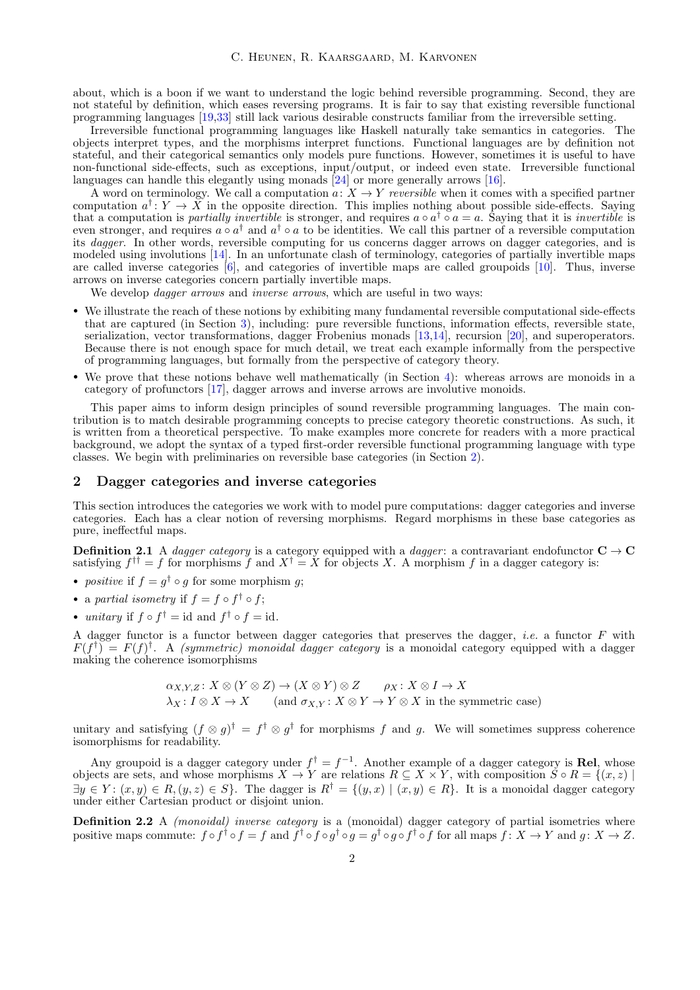about, which is a boon if we want to understand the logic behind reversible programming. Second, they are not stateful by definition, which eases reversing programs. It is fair to say that existing reversible functional programming languages [\[19](#page-12-4)[,33\]](#page-13-7) still lack various desirable constructs familiar from the irreversible setting.

Irreversible functional programming languages like Haskell naturally take semantics in categories. The objects interpret types, and the morphisms interpret functions. Functional languages are by definition not stateful, and their categorical semantics only models pure functions. However, sometimes it is useful to have non-functional side-effects, such as exceptions, input/output, or indeed even state. Irreversible functional languages can handle this elegantly using monads [\[24\]](#page-13-8) or more generally arrows [\[16\]](#page-12-5).

A word on terminology. We call a computation  $a: X \to Y$  reversible when it comes with a specified partner computation  $a^{\dagger}$ :  $Y \to \tilde{X}$  in the opposite direction. This implies nothing about possible side-effects. Saying that a computation is *partially invertible* is stronger, and requires  $a \circ a^{\dagger} \circ a = a$ . Saying that it is *invertible* is even stronger, and requires  $a \circ a^{\dagger}$  and  $a^{\dagger} \circ a$  to be identities. We call this partner of a reversible computation its dagger. In other words, reversible computing for us concerns dagger arrows on dagger categories, and is modeled using involutions [\[14\]](#page-12-6). In an unfortunate clash of terminology, categories of partially invertible maps are called inverse categories [\[6\]](#page-12-7), and categories of invertible maps are called groupoids [\[10\]](#page-12-8). Thus, inverse arrows on inverse categories concern partially invertible maps.

We develop *dagger arrows* and *inverse arrows*, which are useful in two ways:

- We illustrate the reach of these notions by exhibiting many fundamental reversible computational side-effects that are captured (in Section [3\)](#page-3-0), including: pure reversible functions, information effects, reversible state, serialization, vector transformations, dagger Frobenius monads [\[13](#page-12-9)[,14\]](#page-12-6), recursion [\[20\]](#page-13-9), and superoperators. Because there is not enough space for much detail, we treat each example informally from the perspective of programming languages, but formally from the perspective of category theory.
- We prove that these notions behave well mathematically (in Section [4\)](#page-8-0): whereas arrows are monoids in a category of profunctors [\[17\]](#page-12-10), dagger arrows and inverse arrows are involutive monoids.

This paper aims to inform design principles of sound reversible programming languages. The main contribution is to match desirable programming concepts to precise category theoretic constructions. As such, it is written from a theoretical perspective. To make examples more concrete for readers with a more practical background, we adopt the syntax of a typed first-order reversible functional programming language with type classes. We begin with preliminaries on reversible base categories (in Section [2\)](#page-1-0).

#### <span id="page-1-0"></span>2 Dagger categories and inverse categories

This section introduces the categories we work with to model pure computations: dagger categories and inverse categories. Each has a clear notion of reversing morphisms. Regard morphisms in these base categories as pure, ineffectful maps.

**Definition 2.1** A dagger category is a category equipped with a dagger: a contravariant endofunctor  $C \rightarrow C$ satisfying  $f^{\dagger \dagger} = f$  for morphisms f and  $X^{\dagger} = X$  for objects X. A morphism f in a dagger category is:

- *positive* if  $f = g^{\dagger} \circ g$  for some morphism g;
- a partial isometry if  $f = f \circ f^{\dagger} \circ f$ ;
- unitary if  $f \circ f^{\dagger} = id$  and  $f^{\dagger} \circ f = id$ .

A dagger functor is a functor between dagger categories that preserves the dagger, *i.e.* a functor  $F$  with  $F(f^{\dagger}) = F(f)^{\dagger}$ . A *(symmetric) monoidal dagger category* is a monoidal category equipped with a dagger making the coherence isomorphisms

$$
\alpha_{X,Y,Z}: X \otimes (Y \otimes Z) \to (X \otimes Y) \otimes Z \qquad \rho_X: X \otimes I \to X
$$
  

$$
\lambda_X: I \otimes X \to X \qquad \text{(and } \sigma_{X,Y}: X \otimes Y \to Y \otimes X \text{ in the symmetric case)}
$$

unitary and satisfying  $(f \otimes g)^\dagger = f^\dagger \otimes g^\dagger$  for morphisms f and g. We will sometimes suppress coherence isomorphisms for readability.

Any groupoid is a dagger category under  $f^{\dagger} = f^{-1}$ . Another example of a dagger category is **Rel**, whose objects are sets, and whose morphisms  $X \to Y$  are relations  $R \subseteq X \times Y$ , with composition  $\check{S} \circ R = \{(x, z) \mid$  $\exists y \in Y : (x, y) \in R$ ,  $(y, z) \in S$ . The dagger is  $R^{\dagger} = \{(y, x) \mid (x, y) \in R\}$ . It is a monoidal dagger category under either Cartesian product or disjoint union.

Definition 2.2 A *(monoidal) inverse category* is a (monoidal) dagger category of partial isometries where positive maps commute:  $f \circ f^{\dagger} \circ f = f$  and  $f^{\dagger} \circ f \circ g^{\dagger} \circ g = g^{\dagger} \circ g \circ f^{\dagger} \circ f$  for all maps  $f: X \to Y$  and  $g: X \to Z$ .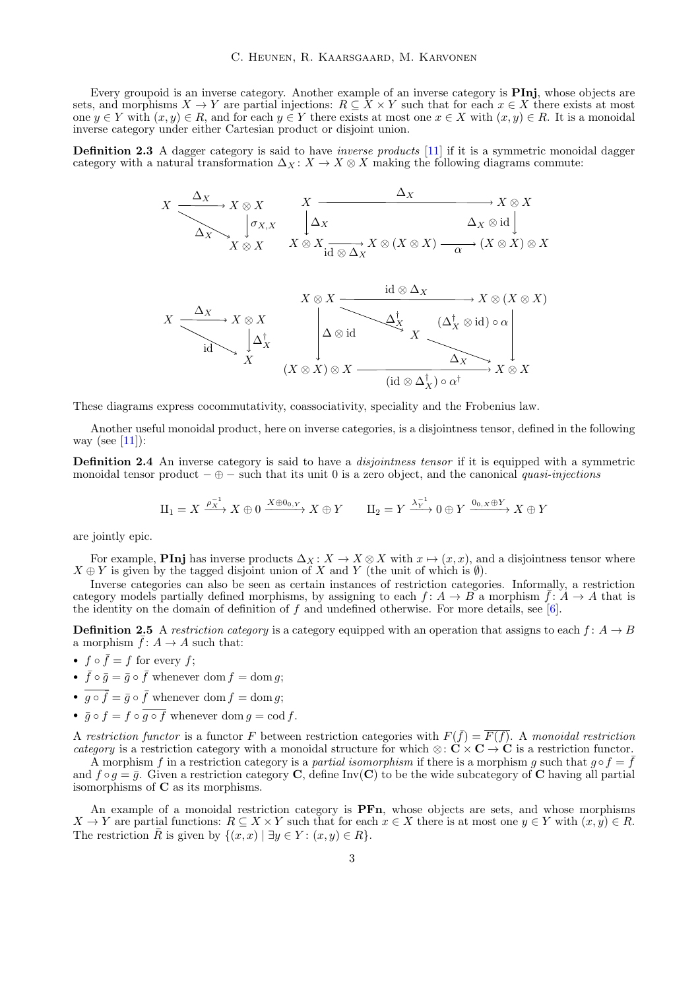Every groupoid is an inverse category. Another example of an inverse category is PInj, whose objects are sets, and morphisms  $X \to Y$  are partial injections:  $R \subset X \times Y$  such that for each  $x \in X$  there exists at most one  $y \in Y$  with  $(x, y) \in R$ , and for each  $y \in Y$  there exists at most one  $x \in X$  with  $(x, y) \in R$ . It is a monoidal inverse category under either Cartesian product or disjoint union.

**Definition 2.3** A dagger category is said to have *inverse products* [\[11\]](#page-12-11) if it is a symmetric monoidal dagger category with a natural transformation  $\Delta_X: X \to X \otimes X$  making the following diagrams commute:

$$
X \xrightarrow{\Delta_X} X \otimes X \xrightarrow{\chi} X \xrightarrow{\Delta_X} X \otimes X
$$
  
\n
$$
\Delta_X \searrow \downarrow \sigma_{X,X} \xrightarrow{\chi} X \otimes X \xrightarrow{\Delta_X} X \otimes (X \otimes X) \xrightarrow{\Delta_X} (X \otimes X) \otimes X
$$
  
\n
$$
\Delta_X \otimes id \downarrow
$$
  
\n
$$
X \otimes X \xrightarrow{\chi} X \otimes X \xrightarrow{\chi} X \otimes (X \otimes X) \xrightarrow{\alpha} (X \otimes X) \otimes X
$$

$$
X \xrightarrow{\Delta_X} X \otimes X
$$
\n
$$
\downarrow X \otimes X
$$
\n
$$
\downarrow \Delta_X^{\dagger}
$$
\n
$$
(X \otimes X) \otimes X
$$
\n
$$
(X \otimes X) \otimes X
$$
\n
$$
\downarrow \Delta_X^{\dagger}
$$
\n
$$
(X \otimes X) \otimes X
$$
\n
$$
\downarrow \Delta_X^{\dagger}
$$
\n
$$
\downarrow \Delta_X^{\dagger}
$$
\n
$$
\downarrow \Delta_X^{\dagger}
$$
\n
$$
\downarrow \Delta_X^{\dagger}
$$
\n
$$
\downarrow \Delta_X^{\dagger}
$$
\n
$$
\downarrow \Delta_X^{\dagger}
$$
\n
$$
\downarrow \Delta_X^{\dagger}
$$
\n
$$
\downarrow \Delta_X^{\dagger}
$$
\n
$$
\downarrow \Delta_X^{\dagger}
$$
\n
$$
\downarrow \Delta_X^{\dagger}
$$
\n
$$
\downarrow \Delta_X^{\dagger}
$$
\n
$$
\downarrow \Delta_X^{\dagger}
$$
\n
$$
\downarrow \Delta_X^{\dagger}
$$
\n
$$
\downarrow \Delta_X^{\dagger}
$$
\n
$$
\downarrow \Delta_X^{\dagger}
$$
\n
$$
\downarrow \Delta_X^{\dagger}
$$

These diagrams express cocommutativity, coassociativity, speciality and the Frobenius law.

Another useful monoidal product, here on inverse categories, is a disjointness tensor, defined in the following way (see  $[11]$ ):

<span id="page-2-0"></span>**Definition 2.4** An inverse category is said to have a *disjointness tensor* if it is equipped with a symmetric monoidal tensor product  $-\oplus -$  such that its unit 0 is a zero object, and the canonical quasi-injections

$$
\text{II}_1 = X \xrightarrow{\rho_X^{-1}} X \oplus 0 \xrightarrow{X \oplus 0_0, Y} X \oplus Y \qquad \text{II}_2 = Y \xrightarrow{\lambda_Y^{-1}} 0 \oplus Y \xrightarrow{0_0, x \oplus Y} X \oplus Y
$$

are jointly epic.

For example, **PInj** has inverse products  $\Delta_X: X \to X \otimes X$  with  $x \mapsto (x, x)$ , and a disjointness tensor where  $X \oplus Y$  is given by the tagged disjoint union of X and Y (the unit of which is  $\emptyset$ ).

Inverse categories can also be seen as certain instances of restriction categories. Informally, a restriction category models partially defined morphisms, by assigning to each  $f: A \rightarrow B$  a morphism  $f: A \rightarrow A$  that is the identity on the domain of definition of f and undefined otherwise. For more details, see [\[6\]](#page-12-7).

**Definition 2.5** A restriction category is a category equipped with an operation that assigns to each  $f: A \rightarrow B$ a morphism  $\bar{f}$ :  $A \rightarrow A$  such that:

- $f \circ \bar{f} = f$  for every  $f$ ;
- $\bar{f} \circ \bar{g} = \bar{g} \circ \bar{f}$  whenever dom  $f = \text{dom } g$ ;
- $\overline{g \circ f} = \overline{g} \circ \overline{f}$  whenever dom  $f = \text{dom } g$ ;
- $\bar{q} \circ f = f \circ \overline{q \circ f}$  whenever dom  $q = \text{cod } f$ .

A restriction functor is a functor F between restriction categories with  $F(\bar{f}) = \overline{F(f)}$ . A monoidal restriction category is a restriction category with a monoidal structure for which ⊗:  $\ddot{C} \times C \rightarrow C$  is a restriction functor.

A morphism f in a restriction category is a partial isomorphism if there is a morphism g such that  $g \circ f = \overline{f}$ and  $f \circ g = \bar{g}$ . Given a restriction category C, define Inv(C) to be the wide subcategory of C having all partial isomorphisms of C as its morphisms.

An example of a monoidal restriction category is **PFn**, whose objects are sets, and whose morphisms  $X \to Y$  are partial functions:  $R \subseteq X \times Y$  such that for each  $x \in X$  there is at most one  $y \in Y$  with  $(x, y) \in R$ . The restriction  $\overline{R}$  is given by  $\{(x, x) | \exists y \in Y : (x, y) \in R\}.$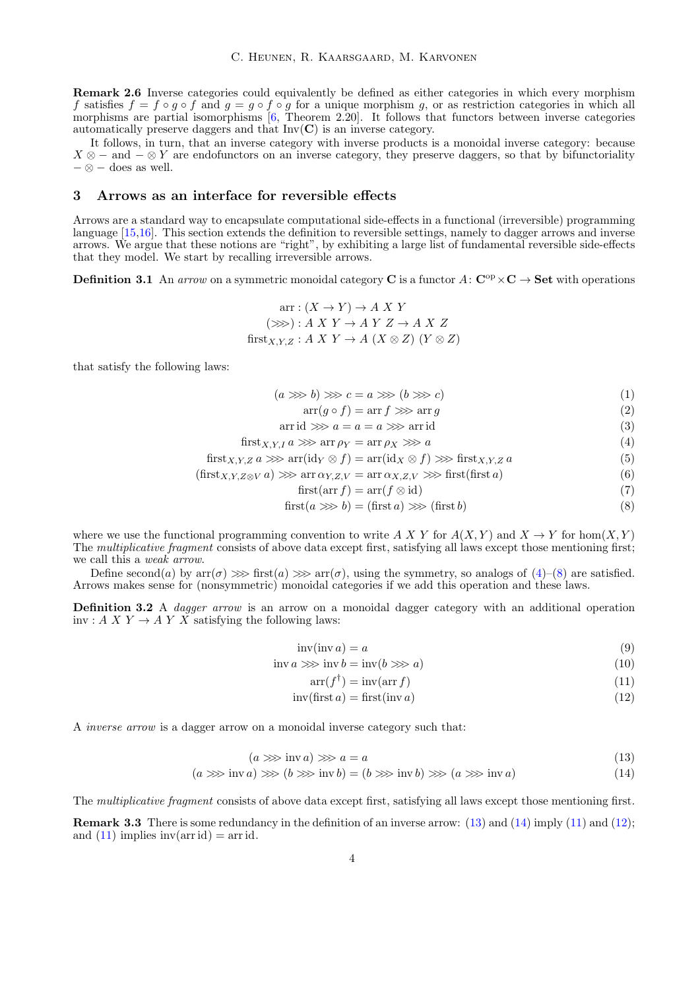Remark 2.6 Inverse categories could equivalently be defined as either categories in which every morphism f satisfies  $f = f \circ q \circ f$  and  $q = q \circ f \circ q$  for a unique morphism q, or as restriction categories in which all morphisms are partial isomorphisms [\[6,](#page-12-7) Theorem 2.20]. It follows that functors between inverse categories automatically preserve daggers and that  $Inv(C)$  is an inverse category.

It follows, in turn, that an inverse category with inverse products is a monoidal inverse category: because  $X \otimes -$  and  $-\otimes Y$  are endofunctors on an inverse category, they preserve daggers, so that by bifunctoriality  $\otimes$   $-$  does as well.

#### <span id="page-3-0"></span>3 Arrows as an interface for reversible effects

Arrows are a standard way to encapsulate computational side-effects in a functional (irreversible) programming language [\[15](#page-12-12)[,16\]](#page-12-5). This section extends the definition to reversible settings, namely to dagger arrows and inverse arrows. We argue that these notions are "right", by exhibiting a large list of fundamental reversible side-effects that they model. We start by recalling irreversible arrows.

<span id="page-3-9"></span>**Definition 3.1** An arrow on a symmetric monoidal category C is a functor  $A: \mathbb{C}^{\text{op}} \times \mathbb{C} \to \mathbb{S}$  et with operations

$$
\text{arr}: (X \to Y) \to A \ X \ Y
$$
  

$$
(\ggg): A \ X \ Y \to A \ Y \ Z \to A \ X \ Z
$$
  
first<sub>X,Y,Z</sub>: A \ X \ Y \to A \ (X \otimes Z) \ (Y \otimes Z)

that satisfy the following laws:

$$
(a \ggg b) \ggg c = a \ggg (b \ggg c) \tag{1}
$$

<span id="page-3-7"></span><span id="page-3-1"></span>
$$
\operatorname{arr}(g \circ f) = \operatorname{arr} f \ggg \operatorname{arr} g \tag{2}
$$

$$
arrid \ggg a = a = a \ggg arrid
$$
 (3)

$$
first_{X,Y,I} a \gg\!\gg \operatorname{arr} \rho_Y = \operatorname{arr} \rho_X \gg\!\gg a \tag{4}
$$

$$
first_{X,Y,Z} a \ggg \text{arr}(id_Y \otimes f) = \text{arr}(id_X \otimes f) \ggg \text{first}_{X,Y,Z} a
$$
\n<sup>(5)</sup>

$$
(\text{first}_{X,Y,Z\otimes V} a) \ggg \text{arr } \alpha_{Y,Z,V} = \text{arr } \alpha_{X,Z,V} \ggg \text{ first (first } a)
$$
\n
$$
(6)
$$

<span id="page-3-11"></span><span id="page-3-2"></span>
$$
first(\operatorname{arr} f) = \operatorname{arr}(f \otimes id)
$$
\n(7)

$$
first(a \ggg b) = (first a) \ggg (first b)
$$
\n(8)

where we use the functional programming convention to write A X Y for  $A(X, Y)$  and  $X \to Y$  for hom $(X, Y)$ The multiplicative fragment consists of above data except first, satisfying all laws except those mentioning first; we call this a weak arrow.

Define second(a) by  $\arctan(\sigma) \gg \arctan(\sigma)$ , using the symmetry, so analogs of [\(4\)](#page-3-1)–[\(8\)](#page-3-2) are satisfied. Arrows makes sense for (nonsymmetric) monoidal categories if we add this operation and these laws.

Definition 3.2 A *dagger arrow* is an arrow on a monoidal dagger category with an additional operation inv :  $A X Y \rightarrow A Y X$  satisfying the following laws:

$$
inv(inva) = a \tag{9}
$$

$$
inv a \ggg inv b = inv(b \ggg a)
$$
\n<sup>(10)</sup>

<span id="page-3-10"></span><span id="page-3-8"></span><span id="page-3-6"></span><span id="page-3-5"></span><span id="page-3-4"></span><span id="page-3-3"></span>
$$
\operatorname{arr}(f^{\dagger}) = \operatorname{inv}(\operatorname{arr} f) \tag{11}
$$

$$
inv(first a) = first(inv a)
$$
\n(12)

A inverse arrow is a dagger arrow on a monoidal inverse category such that:

$$
(a \ggg \text{inv } a) \ggg a = a \tag{13}
$$

$$
(a \ggg \text{inv } a) \ggg (b \ggg \text{inv } b) = (b \ggg \text{inv } b) \ggg (a \ggg \text{inv } a)
$$
 (14)

The multiplicative fragment consists of above data except first, satisfying all laws except those mentioning first.

Remark 3.3 There is some redundancy in the definition of an inverse arrow: [\(13\)](#page-3-3) and [\(14\)](#page-3-4) imply [\(11\)](#page-3-5) and [\(12\)](#page-3-6); and  $(11)$  implies inv(arr id) = arr id.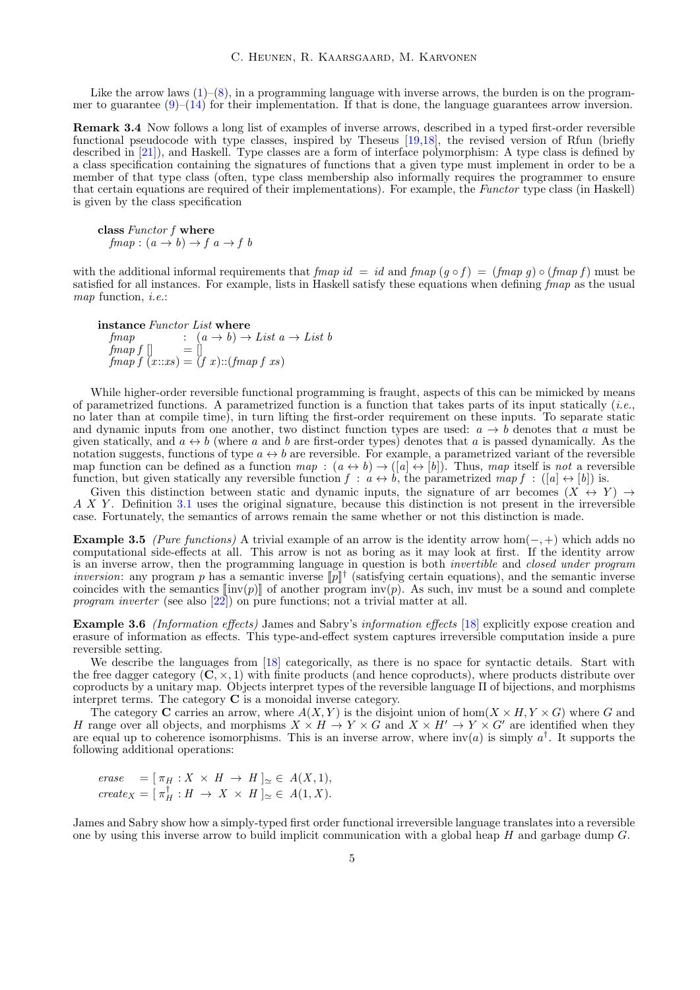Like the arrow laws  $(1)$ – $(8)$ , in a programming language with inverse arrows, the burden is on the programmer to guarantee  $(9)-(14)$  $(9)-(14)$  $(9)-(14)$  for their implementation. If that is done, the language guarantees arrow inversion.

Remark 3.4 Now follows a long list of examples of inverse arrows, described in a typed first-order reversible functional pseudocode with type classes, inspired by Theseus [\[19,](#page-12-4)[18\]](#page-12-3), the revised version of Rfun (briefly described in [\[21\]](#page-13-10)), and Haskell. Type classes are a form of interface polymorphism: A type class is defined by a class specification containing the signatures of functions that a given type must implement in order to be a member of that type class (often, type class membership also informally requires the programmer to ensure that certain equations are required of their implementations). For example, the Functor type class (in Haskell) is given by the class specification

class Functor f where  $fmap : (a \stackrel{\check{\bullet}}{\to} b) \to f \ a \to f \ b$ 

with the additional informal requirements that fmap id = id and fmap  $(q \circ f) = (fmap q) \circ (fmap f)$  must be satisfied for all instances. For example, lists in Haskell satisfy these equations when defining fmap as the usual map function, *i.e.*:

```
instance Functor List where
fmap : (a \to b) \to List\ a \to List\ bfmap f | = |
fmap f(x::xs) = (f x) :: (fmap f xs)
```
While higher-order reversible functional programming is fraught, aspects of this can be mimicked by means of parametrized functions. A parametrized function is a function that takes parts of its input statically (*i.e.*, no later than at compile time), in turn lifting the first-order requirement on these inputs. To separate static and dynamic inputs from one another, two distinct function types are used:  $a \rightarrow b$  denotes that a must be given statically, and  $a \leftrightarrow b$  (where a and b are first-order types) denotes that a is passed dynamically. As the notation suggests, functions of type  $a \leftrightarrow b$  are reversible. For example, a parametrized variant of the reversible map function can be defined as a function  $map : (a \leftrightarrow b) \rightarrow ([a] \leftrightarrow [b])$ . Thus, map itself is not a reversible function, but given statically any reversible function  $f : a \leftrightarrow b$ , the parametrized map  $f : ([a] \leftrightarrow [b])$  is.

Given this distinction between static and dynamic inputs, the signature of arr becomes  $(X \leftrightarrow Y) \rightarrow$ A X Y . Definition [3.1](#page-3-9) uses the original signature, because this distinction is not present in the irreversible case. Fortunately, the semantics of arrows remain the same whether or not this distinction is made.

Example 3.5 (Pure functions) A trivial example of an arrow is the identity arrow hom( $-, +$ ) which adds no computational side-effects at all. This arrow is not as boring as it may look at first. If the identity arrow is an inverse arrow, then the programming language in question is both invertible and closed under program *inversion*: any program p has a semantic inverse  $[\![p]\!]^{\dagger}$  (satisfying certain equations), and the semantic inverse<br>coincides with the semantics  $[\![\text{inv}(p)]\!]$  of another program  $[\text{inv}(p)]$ . As such juy must be a sound coincides with the semantics  $\llbracket inv(p) \rrbracket$  of another program  $inv(p)$ . As such, inv must be a sound and complete program inverter (see also [\[22\]](#page-13-11)) on pure functions; not a trivial matter at all.

Example 3.6 (Information effects) James and Sabry's information effects [\[18\]](#page-12-3) explicitly expose creation and erasure of information as effects. This type-and-effect system captures irreversible computation inside a pure reversible setting.

We describe the languages from [\[18\]](#page-12-3) categorically, as there is no space for syntactic details. Start with the free dagger category  $(C, \times, 1)$  with finite products (and hence coproducts), where products distribute over coproducts by a unitary map. Objects interpret types of the reversible language Π of bijections, and morphisms interpret terms. The category  $C$  is a monoidal inverse category.

The category C carries an arrow, where  $A(X, Y)$  is the disjoint union of hom $(X \times H, Y \times G)$  where G and H range over all objects, and morphisms  $X \times H \to Y \times G$  and  $X \times H' \to Y \times G'$  are identified when they are equal up to coherence isomorphisms. This is an inverse arrow, where  $inv(a)$  is simply  $a^{\dagger}$ . It supports the following additional operations:

$$
erase = [\pi_H : X \times H \to H]_{\simeq} \in A(X,1),
$$
  

$$
create_X = [\pi_H^{\dagger} : H \to X \times H]_{\simeq} \in A(1,X).
$$

<span id="page-4-0"></span>James and Sabry show how a simply-typed first order functional irreversible language translates into a reversible one by using this inverse arrow to build implicit communication with a global heap  $H$  and garbage dump  $G$ .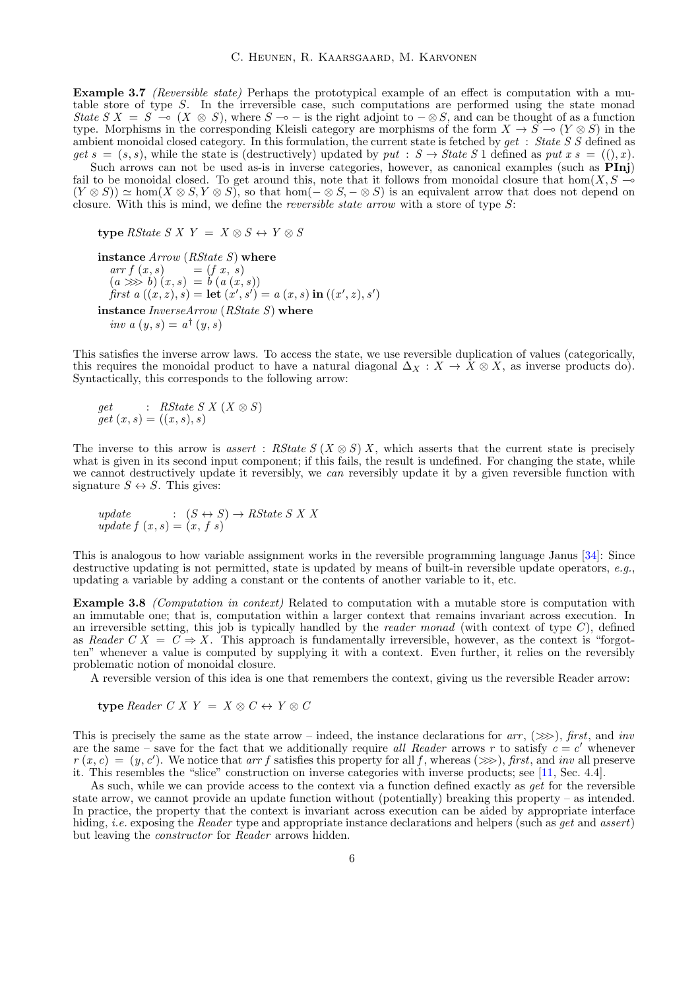Example 3.7 *(Reversible state)* Perhaps the prototypical example of an effect is computation with a mutable store of type S. In the irreversible case, such computations are performed using the state monad State S X =  $S \stackrel{\circ}{\rightarrow} (X \otimes S)$ , where  $S \rightarrow -$  is the right adjoint to  $-\otimes S$ , and can be thought of as a function type. Morphisms in the corresponding Kleisli category are morphisms of the form  $X \to \widetilde{S} \to (Y \otimes S)$  in the ambient monoidal closed category. In this formulation, the current state is fetched by  $get : State S S$  defined as get  $s = (s, s)$ , while the state is (destructively) updated by put :  $S \to State S1$  defined as put  $xs = ((x, x)$ .

Such arrows can not be used as-is in inverse categories, however, as canonical examples (such as **PInj**) fail to be monoidal closed. To get around this, note that it follows from monoidal closure that hom $(X, S \rightarrow$  $(Y \otimes S) \simeq \text{hom}(X \otimes S, Y \otimes S)$ , so that  $\text{hom}(- \otimes S, - \otimes S)$  is an equivalent arrow that does not depend on closure. With this is mind, we define the *reversible state arrow* with a store of type  $S$ :

type RState S X Y =  $X \otimes S \leftrightarrow Y \otimes S$ 

instance  $Arrow(RState S)$  where  $arr f(x, s) = (f(x, s))$  $(a \ggg b)(x, s) = b(a(x, s))$ first  $a(x, z), s$  = let  $(x', s') = a(x, s)$  in  $((x', z), s')$ instance InverseArrow (RState S) where inv  $a(y,s) = a^{\dagger}(y,s)$ 

This satisfies the inverse arrow laws. To access the state, we use reversible duplication of values (categorically, this requires the monoidal product to have a natural diagonal  $\Delta_X : X \to \overline{X} \otimes X$ , as inverse products do). Syntactically, this corresponds to the following arrow:

get : RState S X 
$$
(X \otimes S)
$$
  
get  $(x, s) = ((x, s), s)$ 

The inverse to this arrow is assert : RState S (X  $\otimes$  S) X, which asserts that the current state is precisely what is given in its second input component; if this fails, the result is undefined. For changing the state, while we cannot destructively update it reversibly, we *can* reversibly update it by a given reversible function with signature  $S \leftrightarrow S$ . This gives:

update : 
$$
(S \leftrightarrow S) \rightarrow RState S X X
$$
  
update f  $(x, s) = (x, f s)$ 

This is analogous to how variable assignment works in the reversible programming language Janus [\[34\]](#page-13-12): Since destructive updating is not permitted, state is updated by means of built-in reversible update operators, e.g., updating a variable by adding a constant or the contents of another variable to it, etc.

Example 3.8 *(Computation in context)* Related to computation with a mutable store is computation with an immutable one; that is, computation within a larger context that remains invariant across execution. In an irreversible setting, this job is typically handled by the *reader monad* (with context of type  $C$ ), defined as Reader  $CX = C \Rightarrow X$ . This approach is fundamentally irreversible, however, as the context is "forgotten" whenever a value is computed by supplying it with a context. Even further, it relies on the reversibly problematic notion of monoidal closure.

A reversible version of this idea is one that remembers the context, giving us the reversible Reader arrow:

**type** *Reader* 
$$
C X Y = X \otimes C \leftrightarrow Y \otimes C
$$

This is precisely the same as the state arrow – indeed, the instance declarations for arr,  $(\ggg)$ , first, and inv are the same – save for the fact that we additionally require all Reader arrows r to satisfy  $c = c'$  whenever  $r(x, c) = (y, c')$ . We notice that arr f satisfies this property for all f, whereas  $(\ggg)$ , first, and inv all preserve it. This resembles the "slice" construction on inverse categories with inverse products; see [\[11,](#page-12-11) Sec. 4.4].

As such, while we can provide access to the context via a function defined exactly as get for the reversible state arrow, we cannot provide an update function without (potentially) breaking this property – as intended. In practice, the property that the context is invariant across execution can be aided by appropriate interface hiding, *i.e.* exposing the *Reader* type and appropriate instance declarations and helpers (such as *get* and *assert*) but leaving the constructor for Reader arrows hidden.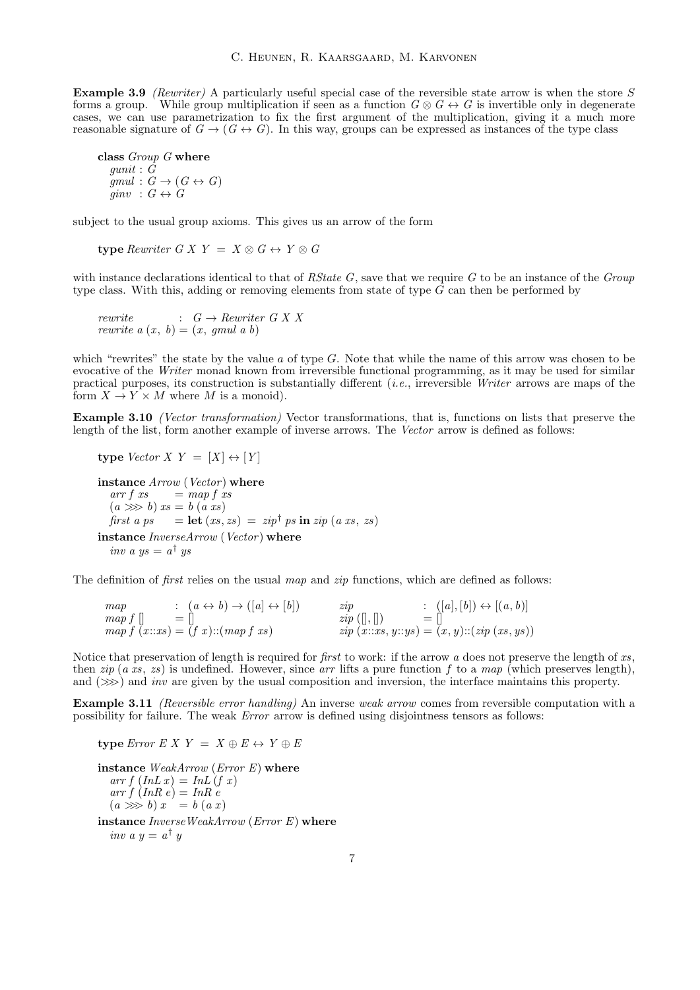Example 3.9 (Rewriter) A particularly useful special case of the reversible state arrow is when the store S forms a group. While group multiplication if seen as a function  $G \otimes G \leftrightarrow G$  is invertible only in degenerate cases, we can use parametrization to fix the first argument of the multiplication, giving it a much more reasonable signature of  $G \to (G \leftrightarrow G)$ . In this way, groups can be expressed as instances of the type class

class Group G where  $gunit : \tilde{G}$  $gmul: G \to (G \leftrightarrow G)$  $ginv : G \leftrightarrow G$ 

subject to the usual group axioms. This gives us an arrow of the form

type Rewriter G X Y =  $X \otimes G \leftrightarrow Y \otimes G$ 

with instance declarations identical to that of RState  $G$ , save that we require  $G$  to be an instance of the  $Group$ type class. With this, adding or removing elements from state of type  $\tilde{G}$  can then be performed by

rewrite  $\hspace{1.6cm} : \hspace{.2cm} G \rightarrow Rewrite \hspace{.2cm} G \hspace{.2cm} X \hspace{.2cm} X$ rewrite  $a(x, b) = (x, qmul a b)$ 

which "rewrites" the state by the value  $a$  of type  $G$ . Note that while the name of this arrow was chosen to be evocative of the Writer monad known from irreversible functional programming, as it may be used for similar practical purposes, its construction is substantially different  $(i.e.,$  irreversible Writer arrows are maps of the form  $X \to Y \times M$  where M is a monoid).

Example 3.10 (Vector transformation) Vector transformations, that is, functions on lists that preserve the length of the list, form another example of inverse arrows. The Vector arrow is defined as follows:

type Vector  $X Y = [X] \leftrightarrow [Y]$ 

**instance**  $Arrow (Vector)$  where<br>  $arr f$   $xs$  =  $map f$   $xs$  $=$  map f xs  $(a \gg b)$   $xs = b(a xs)$ first a ps  $=$  let  $(xs, zs) = zip^{\dagger} ps$  in  $zip (a xs, zs)$ instance *InverseArrow* (*Vector*) where inv a  $ys = a^{\dagger}ys$ 

The definition of *first* relies on the usual *map* and *zip* functions, which are defined as follows:

| map     | $(a \leftrightarrow b) \rightarrow ([a] \leftrightarrow [b])$ | z v          | $\colon$ $([a],[b]) \leftrightarrow [(a,b)]$  |
|---------|---------------------------------------------------------------|--------------|-----------------------------------------------|
| $map f$ |                                                               | zip ([], []) |                                               |
|         | $map f(x::xs) = (f x) :: (map f x)$                           |              | $zip (x::xs, y::ys) = (x, y): (zip (xs, ys))$ |

Notice that preservation of length is required for first to work: if the arrow a does not preserve the length of  $xs$ , then  $zip (a xs, zs)$  is undefined. However, since arr lifts a pure function f to a map (which preserves length), and  $(\ggg)$  and *inv* are given by the usual composition and inversion, the interface maintains this property.

Example 3.11 *(Reversible error handling)* An inverse *weak arrow* comes from reversible computation with a possibility for failure. The weak Error arrow is defined using disjointness tensors as follows:

type Error E X  $Y = X \oplus E \leftrightarrow Y \oplus E$ 

instance WeakArrow (Error E) where arr f  $(InL x) = InL(f x)$  $arr \check{f}$  (InR  $\check{e}$ ) = InR  $\check{e}$  $(a \gg b) x = b (a x)$ 

instance  $InverseWeakArrow$  (Error E) where inv a  $y = a^{\dagger} y$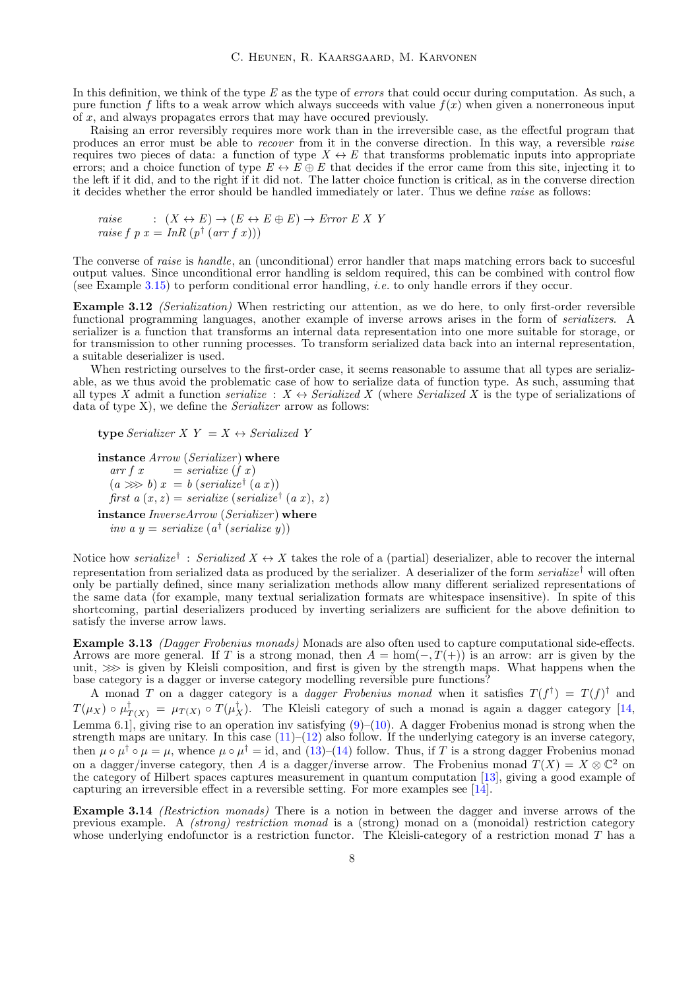In this definition, we think of the type  $E$  as the type of *errors* that could occur during computation. As such, a pure function f lifts to a weak arrow which always succeeds with value  $f(x)$  when given a nonerroneous input of x, and always propagates errors that may have occured previously.

Raising an error reversibly requires more work than in the irreversible case, as the effectful program that produces an error must be able to recover from it in the converse direction. In this way, a reversible raise requires two pieces of data: a function of type  $X \leftrightarrow E$  that transforms problematic inputs into appropriate errors; and a choice function of type  $E \leftrightarrow \overline{E} \oplus E$  that decides if the error came from this site, injecting it to the left if it did, and to the right if it did not. The latter choice function is critical, as in the converse direction it decides whether the error should be handled immediately or later. Thus we define raise as follows:

```
raise : (X \leftrightarrow E) \rightarrow (E \leftrightarrow E \oplus E) \rightarrow Error E X Yraise f p x = InR (p<sup>†</sup> (arr f x)))
```
The converse of *raise* is handle, an (unconditional) error handler that maps matching errors back to succesful output values. Since unconditional error handling is seldom required, this can be combined with control flow (see Example [3.15\)](#page-8-1) to perform conditional error handling, *i.e.* to only handle errors if they occur.

Example 3.12 (Serialization) When restricting our attention, as we do here, to only first-order reversible functional programming languages, another example of inverse arrows arises in the form of serializers. A serializer is a function that transforms an internal data representation into one more suitable for storage, or for transmission to other running processes. To transform serialized data back into an internal representation, a suitable deserializer is used.

When restricting ourselves to the first-order case, it seems reasonable to assume that all types are serializable, as we thus avoid the problematic case of how to serialize data of function type. As such, assuming that all types X admit a function *serialize* :  $X \leftrightarrow Serialized X$  (where *Serialized X* is the type of serializations of data of type X), we define the Serializer arrow as follows:

type Serializer X  $Y = X \leftrightarrow \text{Serialized } Y$ 

instance Arrow (Serializer) where  $\ar{r} f x = \text{serialize } (\text{if } x)$  $(a \gg b) x = b (serialize<sup>†</sup> (a x))$ first a  $(x, z) = \text{serialize} (\text{serialize}^\dagger (a x), z)$ instance *InverseArrow* (*Serializer*) where inv a  $y = \text{serialize}(a^{\dagger} \text{ (serialize } y))$ 

Notice how serialize<sup>†</sup>: Serialized  $X \leftrightarrow X$  takes the role of a (partial) deserializer, able to recover the internal representation from serialized data as produced by the serializer. A deserializer of the form  $serialize^{\dagger}$  will often only be partially defined, since many serialization methods allow many different serialized representations of the same data (for example, many textual serialization formats are whitespace insensitive). In spite of this shortcoming, partial deserializers produced by inverting serializers are sufficient for the above definition to satisfy the inverse arrow laws.

Example 3.13 (Dagger Frobenius monads) Monads are also often used to capture computational side-effects. Arrows are more general. If T is a strong monad, then  $A = \text{hom}(-, T(+)$  is an arrow: arr is given by the unit,  $\gg$  is given by Kleisli composition, and first is given by the strength maps. What happens when the base category is a dagger or inverse category modelling reversible pure functions?

A monad T on a dagger category is a *dagger Frobenius monad* when it satisfies  $T(f^{\dagger}) = T(f)^{\dagger}$  and  $T(\mu_X) \circ \mu_{T(X)}^{\dagger} = \mu_{T(X)} \circ T(\mu_X^{\dagger})$ . The Kleisli category of such a monad is again a dagger category [\[14,](#page-12-6) Lemma 6.1, giving rise to an operation inv satisfying  $(9)-(10)$  $(9)-(10)$  $(9)-(10)$ . A dagger Frobenius monad is strong when the strength maps are unitary. In this case [\(11\)](#page-3-5)–[\(12\)](#page-3-6) also follow. If the underlying category is an inverse category, then  $\mu \circ \mu^{\dagger} \circ \mu = \mu$ , whence  $\mu \circ \mu^{\dagger} = id$ , and [\(13\)](#page-3-3)–[\(14\)](#page-3-4) follow. Thus, if T is a strong dagger Frobenius monad on a dagger/inverse category, then A is a dagger/inverse arrow. The Frobenius monad  $T(X) = X \otimes \mathbb{C}^2$  on the category of Hilbert spaces captures measurement in quantum computation [\[13\]](#page-12-9), giving a good example of capturing an irreversible effect in a reversible setting. For more examples see [\[14\]](#page-12-6).

Example 3.14 (Restriction monads) There is a notion in between the dagger and inverse arrows of the previous example. A (strong) restriction monad is a (strong) monad on a (monoidal) restriction category whose underlying endofunctor is a restriction functor. The Kleisli-category of a restriction monad T has a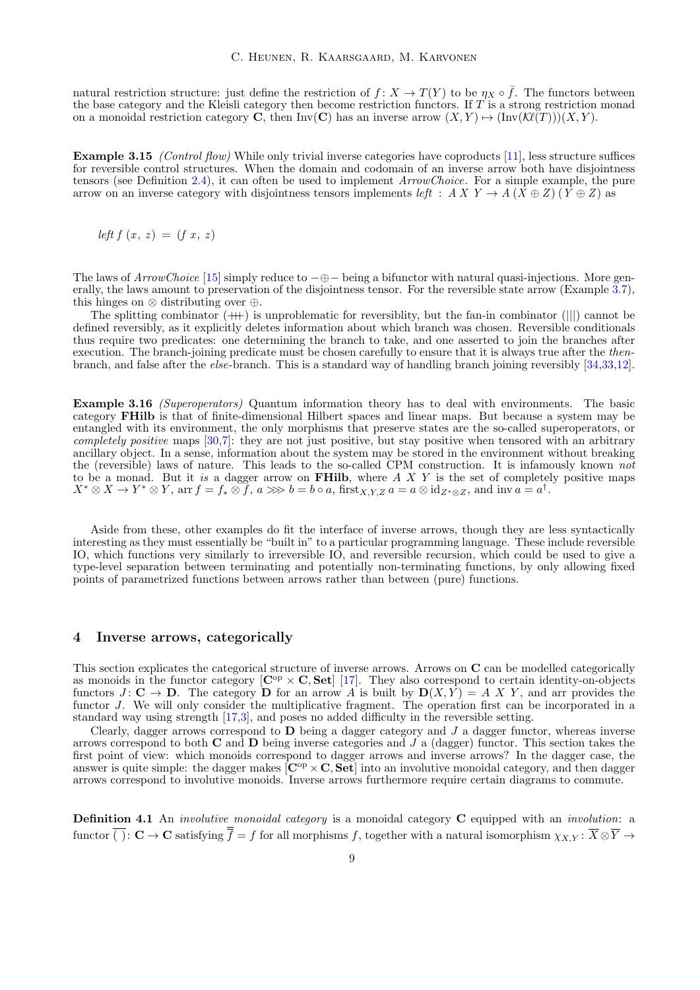natural restriction structure: just define the restriction of  $f: X \to T(Y)$  to be  $\eta_X \circ \bar{f}$ . The functors between the base category and the Kleisli category then become restriction functors. If  $T$  is a strong restriction monad on a monoidal restriction category **C**, then Inv(**C**) has an inverse arrow  $(X, Y) \rightarrow (\text{Inv}(\mathcal{K}\ell(T)))(X, Y)$ .

<span id="page-8-1"></span>**Example 3.15** (Control flow) While only trivial inverse categories have coproducts [\[11\]](#page-12-11), less structure suffices for reversible control structures. When the domain and codomain of an inverse arrow both have disjointness tensors (see Definition [2.4\)](#page-2-0), it can often be used to implement ArrowChoice. For a simple example, the pure arrow on an inverse category with disjointness tensors implements left : A X Y  $\rightarrow$  A ( $\hat{X} \oplus Z$ ) ( $\hat{Y} \oplus Z$ ) as

left  $f(x, z) = (f(x, z))$ 

The laws of ArrowChoice [\[15\]](#page-12-12) simply reduce to  $-\oplus$  being a bifunctor with natural quasi-injections. More generally, the laws amount to preservation of the disjointness tensor. For the reversible state arrow (Example [3.7\)](#page-4-0), this hinges on ⊗ distributing over ⊕.

The splitting combinator  $(+)$  is unproblematic for reversibility, but the fan-in combinator  $(|||)$  cannot be defined reversibly, as it explicitly deletes information about which branch was chosen. Reversible conditionals thus require two predicates: one determining the branch to take, and one asserted to join the branches after execution. The branch-joining predicate must be chosen carefully to ensure that it is always true after the thenbranch, and false after the else-branch. This is a standard way of handling branch joining reversibly [\[34,](#page-13-12)[33,](#page-13-7)[12\]](#page-12-13).

<span id="page-8-2"></span>Example 3.16 (Superoperators) Quantum information theory has to deal with environments. The basic category FHilb is that of finite-dimensional Hilbert spaces and linear maps. But because a system may be entangled with its environment, the only morphisms that preserve states are the so-called superoperators, or completely positive maps [\[30,](#page-13-2)[7\]](#page-12-14): they are not just positive, but stay positive when tensored with an arbitrary ancillary object. In a sense, information about the system may be stored in the environment without breaking the (reversible) laws of nature. This leads to the so-called CPM construction. It is infamously known not to be a monad. But it is a dagger arrow on **FHilb**, where  $A \times Y$  is the set of completely positive maps  $X^* \otimes X \to Y^* \otimes Y$ ,  $\text{arr } f = f_* \otimes \check{f}$ ,  $a \ggg b = b \circ a$ ,  $\text{first}_{X,Y,Z} a = a \otimes \text{id}_{Z^* \otimes Z}$ , and  $\text{inv } a = a^{\dagger}$ .

Aside from these, other examples do fit the interface of inverse arrows, though they are less syntactically interesting as they must essentially be "built in" to a particular programming language. These include reversible IO, which functions very similarly to irreversible IO, and reversible recursion, which could be used to give a type-level separation between terminating and potentially non-terminating functions, by only allowing fixed points of parametrized functions between arrows rather than between (pure) functions.

#### <span id="page-8-0"></span>4 Inverse arrows, categorically

This section explicates the categorical structure of inverse arrows. Arrows on C can be modelled categorically as monoids in the functor category  $[\mathbf{C}^{op} \times \mathbf{C}, \mathbf{Set}]$  [\[17\]](#page-12-10). They also correspond to certain identity-on-objects functors  $J: \mathbf{C} \to \mathbf{D}$ . The category  $\mathbf{D}$  for an arrow A is built by  $\mathbf{D}(X,Y) = A X Y$ , and arr provides the functor J. We will only consider the multiplicative fragment. The operation first can be incorporated in a standard way using strength [\[17,](#page-12-10)[3\]](#page-12-15), and poses no added difficulty in the reversible setting.

Clearly, dagger arrows correspond to  $D$  being a dagger category and  $J$  a dagger functor, whereas inverse arrows correspond to both **C** and **D** being inverse categories and  $J$  a (dagger) functor. This section takes the first point of view: which monoids correspond to dagger arrows and inverse arrows? In the dagger case, the answer is quite simple: the dagger makes  $[C^{op} \times C, Set]$  into an involutive monoidal category, and then dagger arrows correspond to involutive monoids. Inverse arrows furthermore require certain diagrams to commute.

Definition 4.1 An *involutive monoidal category* is a monoidal category C equipped with an *involution*: a functor  $\overline{(\ )}: \mathbf{C} \to \mathbf{C}$  satisfying  $\overline{\overline{f}} = f$  for all morphisms f, together with a natural isomorphism  $\chi_{X,Y} : \overline{X} \otimes \overline{Y} \to$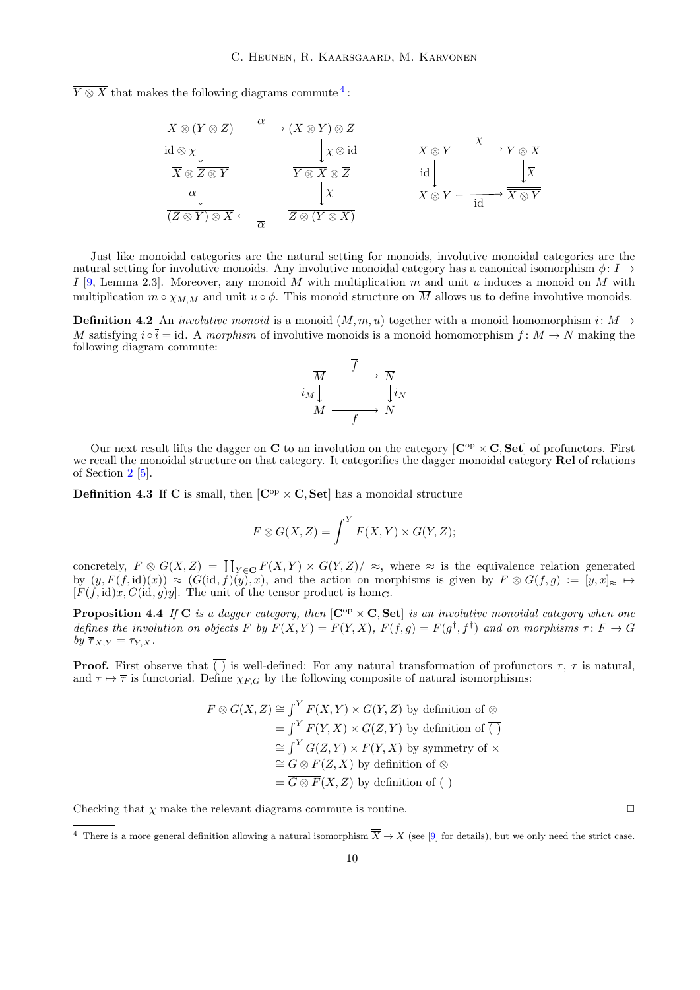$\overline{Y \otimes X}$  that makes the following diagrams commute<sup>[4](#page-9-0)</sup>:

$$
\overline{X} \otimes (\overline{Y} \otimes \overline{Z}) \xrightarrow{\alpha} (\overline{X} \otimes \overline{Y}) \otimes \overline{Z}
$$
\n
$$
\overline{X} \otimes \overline{X} \otimes \overline{Y} \xrightarrow{\alpha} \overline{Y} \otimes \overline{X}
$$
\n
$$
\overline{X} \otimes \overline{Z} \otimes \overline{Y} \xrightarrow{\alpha} \overline{Y} \otimes \overline{X} \otimes \overline{Z} \qquad \text{id} \downarrow \overline{X}
$$
\n
$$
\alpha \downarrow \qquad \qquad \downarrow \chi \qquad \qquad X \otimes Y \xrightarrow{\text{id}} \overline{X \otimes Y}
$$
\n
$$
\overline{(Z \otimes Y) \otimes X} \xleftarrow{\overline{\alpha}} \overline{Z \otimes (Y \otimes X)}
$$

Just like monoidal categories are the natural setting for monoids, involutive monoidal categories are the natural setting for involutive monoids. Any involutive monoidal category has a canonical isomorphism  $\phi: I \to$  $\overline{I}$  [\[9,](#page-12-16) Lemma 2.3]. Moreover, any monoid M with multiplication m and unit u induces a monoid on  $\overline{M}$  with multiplication  $\overline{m} \circ \chi_{M,M}$  and unit  $\overline{u} \circ \phi$ . This monoid structure on  $\overline{M}$  allows us to define involutive monoids.

**Definition 4.2** An *involutive monoid* is a monoid  $(M, m, u)$  together with a monoid homomorphism  $i: \overline{M} \to$ M satisfying  $i \circ \overline{i} = id$ . A morphism of involutive monoids is a monoid homomorphism  $f: M \to N$  making the following diagram commute:



Our next result lifts the dagger on C to an involution on the category  $[\mathbf{C}^{op} \times \mathbf{C}, \mathbf{Set}]$  of profunctors. First we recall the monoidal structure on that category. It categorifies the dagger monoidal category Rel of relations of Section [2](#page-1-0) [\[5\]](#page-12-17).

**Definition 4.3** If C is small, then  $[\mathbf{C}^{\mathrm{op}} \times \mathbf{C}, \mathbf{Set}]$  has a monoidal structure

$$
F\otimes G(X,Z)=\int^Y F(X,Y)\times G(Y,Z);
$$

concretely,  $F \otimes G(X,Z) = \coprod_{Y \in \mathbf{C}} F(X,Y) \times G(Y,Z)/ \approx$ , where  $\approx$  is the equivalence relation generated by  $(y, F(f, id)(x)) \approx (G(id, f)(y), x)$ , and the action on morphisms is given by  $F \otimes G(f, g) := [y, x]_{\approx} \mapsto$  $[F(\tilde{f}, id)\tilde{x}, G(id, q)y]$ . The unit of the tensor product is hom<sub>C</sub>.

**Proposition 4.4** If C is a dagger category, then  $[C^{op} \times C, Set]$  is an involutive monoidal category when one defines the involution on objects F by  $\overline{F}(X,Y) = F(Y,X)$ ,  $\overline{F}(f,g) = F(g^{\dagger},f^{\dagger})$  and on morphisms  $\tau: F \to G$ by  $\overline{\tau}_{X,Y} = \tau_{Y,X}$ .

**Proof.** First observe that () is well-defined: For any natural transformation of profunctors  $\tau$ ,  $\bar{\tau}$  is natural, and  $\tau \mapsto \overline{\tau}$  is functorial. Define  $\chi_{F,G}$  by the following composite of natural isomorphisms:

$$
\overline{F} \otimes \overline{G}(X, Z) \cong \int^Y \overline{F}(X, Y) \times \overline{G}(Y, Z) \text{ by definition of } \otimes
$$
  
=  $\int^Y F(Y, X) \times G(Z, Y) \text{ by definition of } \overline{()}$   
 $\cong \int^Y G(Z, Y) \times F(Y, X) \text{ by symmetry of } \times$   
 $\cong G \otimes F(Z, X) \text{ by definition of } \otimes$   
=  $\overline{G \otimes F}(X, Z) \text{ by definition of } \overline{()}$ 

Checking that  $\chi$  make the relevant diagrams commute is routine.  $\Box$ 

<span id="page-9-0"></span><sup>&</sup>lt;sup>4</sup> There is a more general definition allowing a natural isomorphism  $\overline{\overline{X}} \to X$  (see [\[9\]](#page-12-16) for details), but we only need the strict case.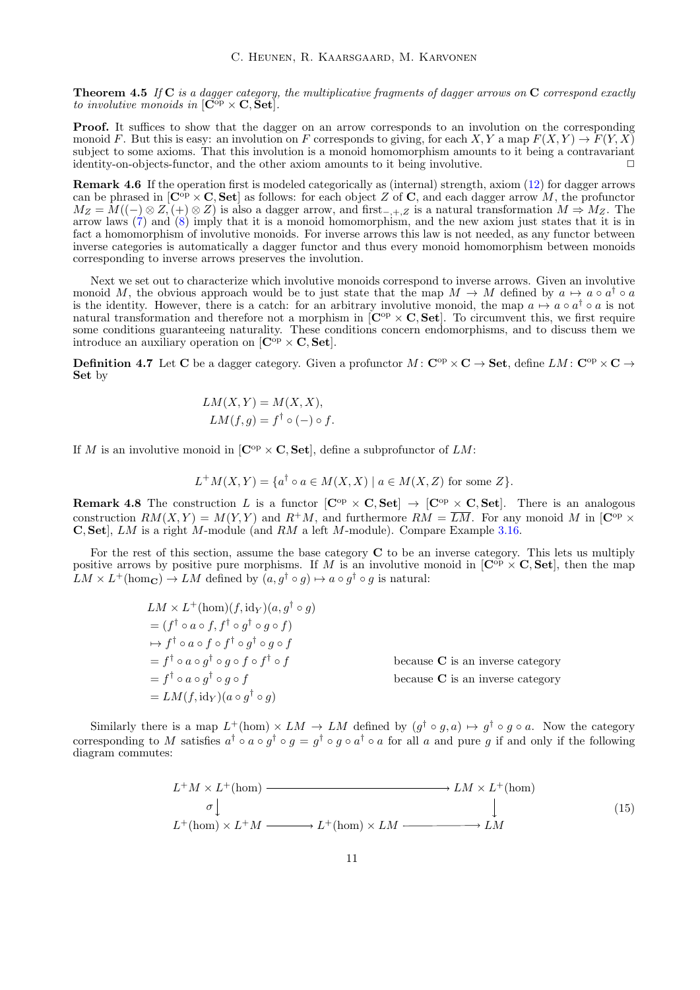**Theorem 4.5** If  $C$  is a dagger category, the multiplicative fragments of dagger arrows on  $C$  correspond exactly to involutive monoids in  $[\mathbf{C}^{\text{op}} \times \mathbf{C}, \mathbf{\tilde{S}et}].$ 

**Proof.** It suffices to show that the dagger on an arrow corresponds to an involution on the corresponding monoid F. But this is easy: an involution on F corresponds to giving, for each X, Y a map  $F(X, Y) \to F(Y, X)$ subject to some axioms. That this involution is a monoid homomorphism amounts to it being a contravariant identity-on-objects-functor, and the other axiom amounts to it being involutive.  $\Box$ 

Remark 4.6 If the operation first is modeled categorically as (internal) strength, axiom [\(12\)](#page-3-6) for dagger arrows can be phrased in  $[\mathbf{C}^{op} \times \mathbf{C}, \mathbf{Set}]$  as follows: for each object Z of C, and each dagger arrow M, the profunctor  $M_Z = M((-) \otimes Z, (+) \otimes Z)$  is also a dagger arrow, and first<sub>-+,Z</sub> is a natural transformation  $M \to M_Z$ . The arrow laws  $(7)$  and  $(8)$  imply that it is a monoid homomorphism, and the new axiom just states that it is in fact a homomorphism of involutive monoids. For inverse arrows this law is not needed, as any functor between inverse categories is automatically a dagger functor and thus every monoid homomorphism between monoids corresponding to inverse arrows preserves the involution.

Next we set out to characterize which involutive monoids correspond to inverse arrows. Given an involutive monoid M, the obvious approach would be to just state that the map  $M \to M$  defined by  $a \mapsto a \circ a^{\dagger} \circ a$ is the identity. However, there is a catch: for an arbitrary involutive monoid, the map  $a \mapsto a \circ a^{\dagger} \circ a$  is not natural transformation and therefore not a morphism in  $[{\bf C}^{\rm op} \times {\bf C}, {\bf Set}]$ . To circumvent this, we first require some conditions guaranteeing naturality. These conditions concern endomorphisms, and to discuss them we introduce an auxiliary operation on  $[\mathbf{C}^{\text{op}} \times \mathbf{C}, \mathbf{Set}].$ 

**Definition 4.7** Let C be a dagger category. Given a profunctor  $M: \mathbb{C}^{op} \times \mathbb{C} \to \mathbb{S}$ et, define  $LM: \mathbb{C}^{op} \times \mathbb{C} \to$ Set by

$$
LM(X, Y) = M(X, X),
$$
  

$$
LM(f, g) = f^{\dagger} \circ (-) \circ f.
$$

If M is an involutive monoid in  $[\mathbf{C}^{op} \times \mathbf{C}, \mathbf{Set}]$ , define a subprofunctor of  $LM$ :

$$
L^+M(X,Y) = \{a^\dagger \circ a \in M(X,X) \mid a \in M(X,Z) \text{ for some } Z\}.
$$

**Remark 4.8** The construction L is a functor  $[\mathbf{C}^{\mathrm{op}} \times \mathbf{C}, \mathbf{Set}] \to [\mathbf{C}^{\mathrm{op}} \times \mathbf{C}, \mathbf{Set}]$ . There is an analogous construction  $RM(X, Y) = M(Y, Y)$  and  $R^+M$ , and furthermore  $RM = \overline{LM}$ . For any monoid M in  $[\mathbb{C}^{\text{op}} \times]$ **C, Set**, LM is a right M-module (and RM a left M-module). Compare Example [3.16.](#page-8-2)

For the rest of this section, assume the base category C to be an inverse category. This lets us multiply positive arrows by positive pure morphisms. If M is an involutive monoid in  $[\mathbf{C}^{\mathrm{op}} \times \mathbf{C}, \mathbf{Set}]$ , then the map  $LM \times L^+(\text{hom}_\mathbf{C}) \to LM$  defined by  $(a, g^\dagger \circ g) \mapsto a \circ g^\dagger \circ g$  is natural:

> $LM \times L^+(\hom)(f,\mathrm{id}_Y)(a,g^\dagger \circ g)$  $=(f^{\dagger} \circ a \circ f, f^{\dagger} \circ g^{\dagger} \circ g \circ f)$  $\mapsto f^\dagger \circ a \circ f \circ f^\dagger \circ g^\dagger \circ g \circ f$  $f^\dagger \circ a \circ g^\dagger \circ g \circ f \circ f^\dagger$ because  $C$  is an inverse category  $= f^{\dagger} \circ a \circ g^{\dagger}$ because  $C$  is an inverse category  $= LM(f, id_Y)(a \circ g^{\dagger} \circ g)$

Similarly there is a map  $L^+(\text{hom}) \times LM \to LM$  defined by  $(g^{\dagger} \circ g, a) \mapsto g^{\dagger} \circ g \circ a$ . Now the category corresponding to M satisfies  $a^{\dagger} \circ a \circ g^{\dagger} \circ g = g^{\dagger} \circ g \circ a^{\dagger} \circ a$  for all a and pure g if and only if the following diagram commutes:

<span id="page-10-0"></span>
$$
L^+M \times L^+(\text{hom}) \longrightarrow LM \times L^+(\text{hom})
$$
  
\n
$$
\sigma \downarrow \qquad \qquad \downarrow
$$
  
\n
$$
L^+(\text{hom}) \times L^+M \longrightarrow L^+(\text{hom}) \times LM \longrightarrow LM
$$
 (15)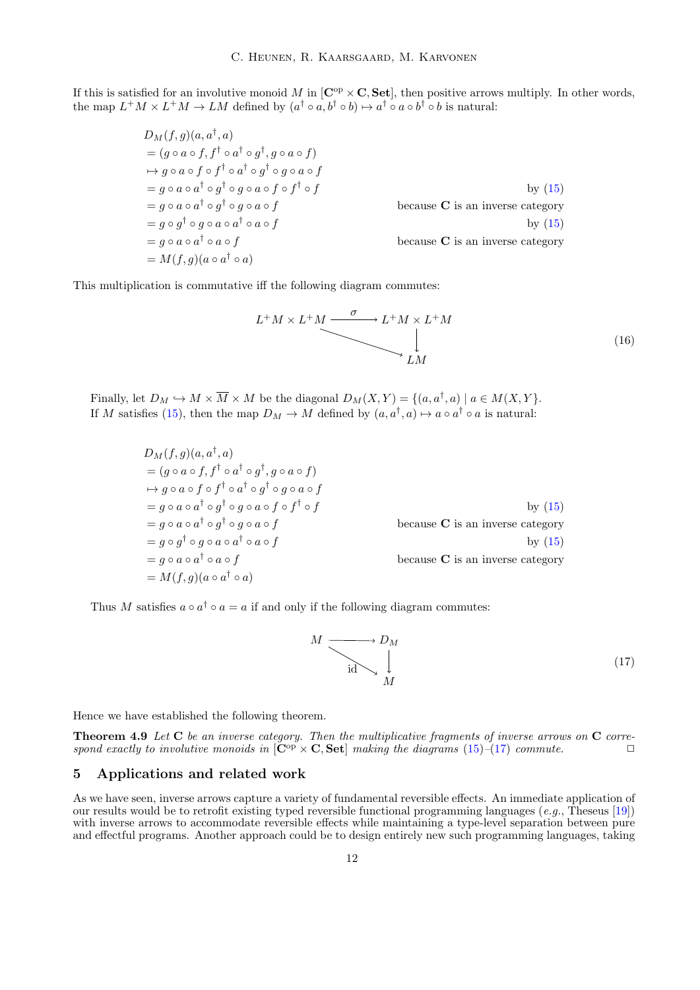If this is satisfied for an involutive monoid M in  $[\mathbf{C}^{op} \times \mathbf{C}, \mathbf{Set}]$ , then positive arrows multiply. In other words, the map  $L^+M \times L^+M \to LM$  defined by  $(a^{\dagger} \circ a, b^{\dagger} \circ b) \mapsto a^{\dagger} \circ a \circ b^{\dagger} \circ b$  is natural:

$$
D_M(f,g)(a,a^{\dagger},a)
$$
  
\n
$$
= (g \circ a \circ f, f^{\dagger} \circ a^{\dagger} \circ g^{\dagger}, g \circ a \circ f)
$$
  
\n
$$
\rightarrow g \circ a \circ f \circ f^{\dagger} \circ a^{\dagger} \circ g^{\dagger} \circ g \circ a \circ f
$$
  
\n
$$
= g \circ a \circ a^{\dagger} \circ g^{\dagger} \circ g \circ a \circ f \circ f^{\dagger} \circ f
$$
  
\n
$$
= g \circ a \circ a^{\dagger} \circ g^{\dagger} \circ g \circ a \circ f
$$
  
\n
$$
= g \circ g \circ a \circ a^{\dagger} \circ a \circ f
$$
  
\n
$$
= g \circ a \circ a^{\dagger} \circ a \circ f
$$
  
\n
$$
= M(f,g)(a \circ a^{\dagger} \circ a)
$$
  
\n
$$
= M(f,g)(a \circ a^{\dagger} \circ a)
$$
  
\n
$$
= M(f,g)(a \circ a^{\dagger} \circ a)
$$
  
\n
$$
= M(f,g)(a \circ a^{\dagger} \circ a)
$$
  
\n
$$
= M(f,g)(a \circ a^{\dagger} \circ a)
$$
  
\n
$$
= M(f,g)(a \circ a^{\dagger} \circ a)
$$
  
\n
$$
= M(f,g)(a \circ a^{\dagger} \circ a)
$$
  
\n
$$
= M(f,g)(a \circ a^{\dagger} \circ a)
$$
  
\n
$$
= M(f,g)(a \circ a^{\dagger} \circ a)
$$
  
\n
$$
= M(f,g)(a \circ a^{\dagger} \circ a)
$$
  
\n
$$
= M(f,g)(a \circ a^{\dagger} \circ a)
$$
  
\n
$$
= M(f,g)(a \circ a^{\dagger} \circ a)
$$
  
\n
$$
= M(f,g)(a \circ a^{\dagger} \circ a)
$$
  
\n
$$
= M(f,g)(a \circ a^{\dagger} \circ a)
$$
  
\n
$$
= M(f,g)(a \circ a^{\dagger} \circ a)
$$
  
\n
$$
= M(f,g)(a \circ a^{\dagger} \circ a)
$$
  
\n
$$
= M(f,g)(a
$$

This multiplication is commutative iff the following diagram commutes:

$$
L^+M \times L^+M \xrightarrow{\sigma} L^+M \times L^+M
$$
\n
$$
\downarrow
$$
\n
$$
LM \tag{16}
$$

Finally, let  $D_M \hookrightarrow M \times \overline{M} \times M$  be the diagonal  $D_M(X,Y) = \{(a,a^{\dagger},a) \mid a \in M(X,Y)\}.$ If M satisfies [\(15\)](#page-10-0), then the map  $D_M \to M$  defined by  $(a, a^{\dagger}, a) \mapsto a \circ a^{\dagger} \circ a$  is natural:

> $D_M(f,g)(a,a^\dagger,a)$  $=(g\circ a\circ f,f^\dagger\circ a^\dagger\circ g^\dagger,g\circ a\circ f)$  $\mapsto g \circ a \circ f \circ f^\dagger \circ a^\dagger \circ g^\dagger \circ g \circ a \circ f$  $g = g \circ a \circ a^\dagger \circ g^\dagger \circ g \circ a \circ f \circ f^\dagger$ by  $(15)$  $= g \circ a \circ a^\dagger \circ g^\dagger$ because  $C$  is an inverse category  $g\circ g^\dagger\circ g\circ a\circ a^\dagger$ by  $(15)$  $= g \circ a \circ a^{\dagger}$ because  $C$  is an inverse category  $=M(f,g)(a\circ a^{\dagger}\circ a)$

Thus M satisfies  $a \circ a^{\dagger} \circ a = a$  if and only if the following diagram commutes:

<span id="page-11-0"></span>
$$
M \xrightarrow{\qquad} D_M
$$
  
id 
$$
\downarrow M
$$
 (17)

Hence we have established the following theorem.

**Theorem 4.9** Let  $C$  be an inverse category. Then the multiplicative fragments of inverse arrows on  $C$  correspond exactly to involutive monoids in  $[\check{C}^{op} \times C, Set]$  making the diagrams  $(15)-(17)$  $(15)-(17)$  $(15)-(17)$  commute.

#### 5 Applications and related work

As we have seen, inverse arrows capture a variety of fundamental reversible effects. An immediate application of our results would be to retrofit existing typed reversible functional programming languages (e.g., Theseus [\[19\]](#page-12-4)) with inverse arrows to accommodate reversible effects while maintaining a type-level separation between pure and effectful programs. Another approach could be to design entirely new such programming languages, taking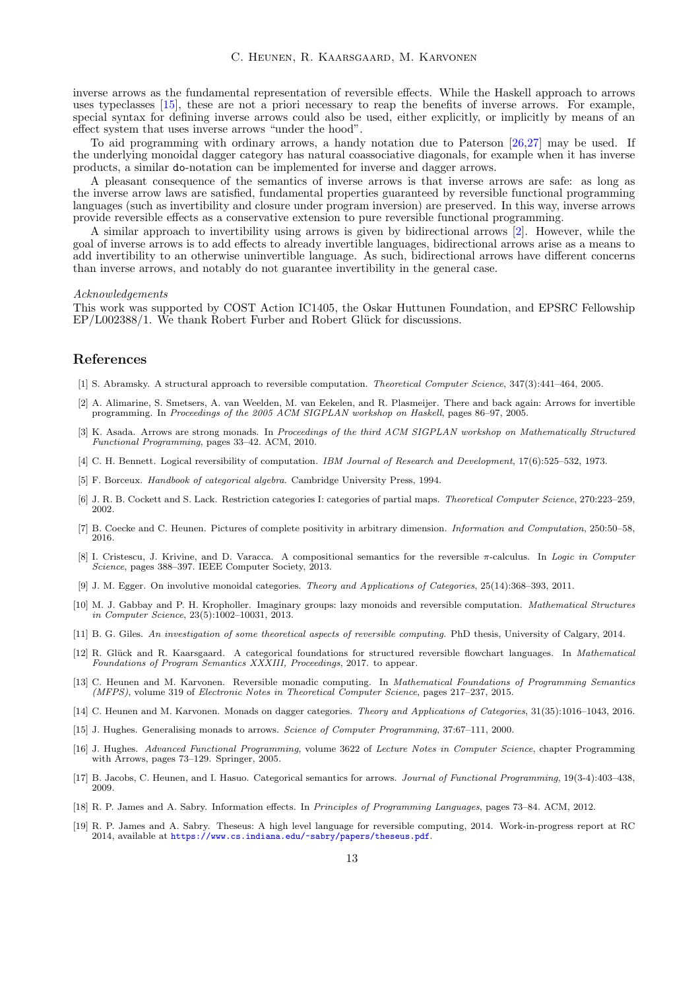inverse arrows as the fundamental representation of reversible effects. While the Haskell approach to arrows uses typeclasses [\[15\]](#page-12-12), these are not a priori necessary to reap the benefits of inverse arrows. For example, special syntax for defining inverse arrows could also be used, either explicitly, or implicitly by means of an effect system that uses inverse arrows "under the hood".

To aid programming with ordinary arrows, a handy notation due to Paterson [\[26,](#page-13-13)[27\]](#page-13-14) may be used. If the underlying monoidal dagger category has natural coassociative diagonals, for example when it has inverse products, a similar do-notation can be implemented for inverse and dagger arrows.

A pleasant consequence of the semantics of inverse arrows is that inverse arrows are safe: as long as the inverse arrow laws are satisfied, fundamental properties guaranteed by reversible functional programming languages (such as invertibility and closure under program inversion) are preserved. In this way, inverse arrows provide reversible effects as a conservative extension to pure reversible functional programming.

A similar approach to invertibility using arrows is given by bidirectional arrows [\[2\]](#page-12-18). However, while the goal of inverse arrows is to add effects to already invertible languages, bidirectional arrows arise as a means to add invertibility to an otherwise uninvertible language. As such, bidirectional arrows have different concerns than inverse arrows, and notably do not guarantee invertibility in the general case.

#### Acknowledgements

This work was supported by COST Action IC1405, the Oskar Huttunen Foundation, and EPSRC Fellowship  $EP/L002388/1$ . We thank Robert Furber and Robert Glück for discussions.

#### References

<span id="page-12-2"></span>[1] S. Abramsky. A structural approach to reversible computation. Theoretical Computer Science, 347(3):441–464, 2005.

- <span id="page-12-18"></span>[2] A. Alimarine, S. Smetsers, A. van Weelden, M. van Eekelen, and R. Plasmeijer. There and back again: Arrows for invertible programming. In Proceedings of the 2005 ACM SIGPLAN workshop on Haskell, pages 86–97, 2005.
- <span id="page-12-15"></span>[3] K. Asada. Arrows are strong monads. In Proceedings of the third ACM SIGPLAN workshop on Mathematically Structured Functional Programming, pages 33–42. ACM, 2010.
- <span id="page-12-1"></span>[4] C. H. Bennett. Logical reversibility of computation. IBM Journal of Research and Development, 17(6):525–532, 1973.
- <span id="page-12-17"></span>[5] F. Borceux. Handbook of categorical algebra. Cambridge University Press, 1994.
- <span id="page-12-7"></span>[6] J. R. B. Cockett and S. Lack. Restriction categories I: categories of partial maps. Theoretical Computer Science, 270:223–259, 2002.
- <span id="page-12-14"></span>[7] B. Coecke and C. Heunen. Pictures of complete positivity in arbitrary dimension. Information and Computation, 250:50–58, 2016.
- <span id="page-12-0"></span>[8] I. Cristescu, J. Krivine, and D. Varacca. A compositional semantics for the reversible π-calculus. In Logic in Computer Science, pages 388–397. IEEE Computer Society, 2013.
- <span id="page-12-16"></span>[9] J. M. Egger. On involutive monoidal categories. Theory and Applications of Categories, 25(14):368–393, 2011.
- <span id="page-12-8"></span>[10] M. J. Gabbay and P. H. Kropholler. Imaginary groups: lazy monoids and reversible computation. Mathematical Structures in Computer Science, 23(5):1002–10031, 2013.
- <span id="page-12-11"></span>[11] B. G. Giles. An investigation of some theoretical aspects of reversible computing. PhD thesis, University of Calgary, 2014.
- <span id="page-12-13"></span>[12] R. Glück and R. Kaarsgaard. A categorical foundations for structured reversible flowchart languages. In Mathematical Foundations of Program Semantics XXXIII, Proceedings, 2017. to appear.
- <span id="page-12-9"></span>[13] C. Heunen and M. Karvonen. Reversible monadic computing. In Mathematical Foundations of Programming Semantics (MFPS), volume 319 of Electronic Notes in Theoretical Computer Science, pages 217–237, 2015.
- <span id="page-12-6"></span>[14] C. Heunen and M. Karvonen. Monads on dagger categories. Theory and Applications of Categories, 31(35):1016–1043, 2016.
- <span id="page-12-12"></span>[15] J. Hughes. Generalising monads to arrows. Science of Computer Programming, 37:67–111, 2000.
- <span id="page-12-5"></span>[16] J. Hughes. Advanced Functional Programming, volume 3622 of Lecture Notes in Computer Science, chapter Programming with Arrows, pages 73–129. Springer, 2005.
- <span id="page-12-10"></span>[17] B. Jacobs, C. Heunen, and I. Hasuo. Categorical semantics for arrows. Journal of Functional Programming, 19(3-4):403–438, 2009.
- <span id="page-12-3"></span>[18] R. P. James and A. Sabry. Information effects. In Principles of Programming Languages, pages 73–84. ACM, 2012.
- <span id="page-12-4"></span>[19] R. P. James and A. Sabry. Theseus: A high level language for reversible computing, 2014. Work-in-progress report at RC 2014, available at <https://www.cs.indiana.edu/~sabry/papers/theseus.pdf>.